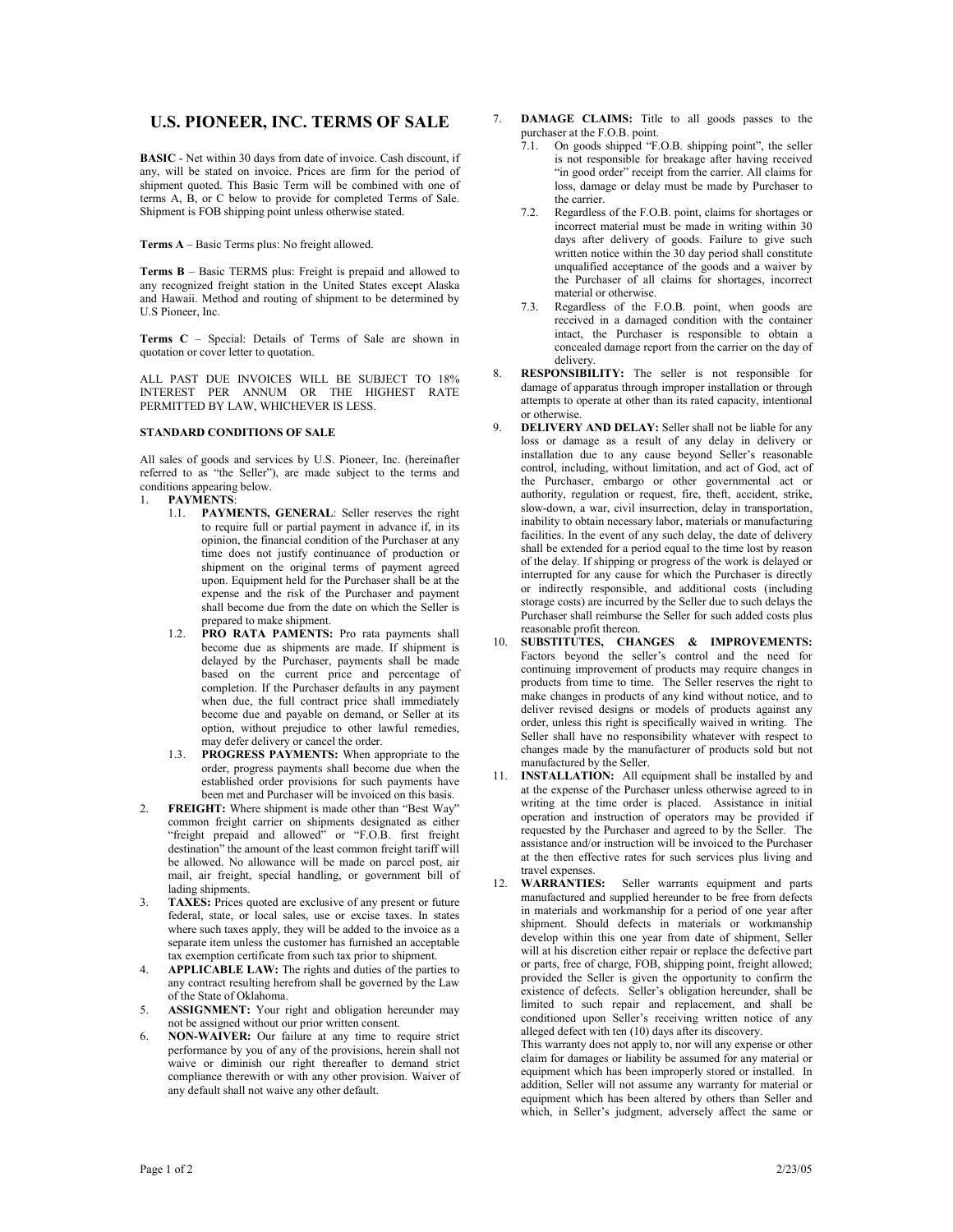## **U.S. PIONEER, INC. TERMS OF SALE**

**BASIC** - Net within 30 days from date of invoice. Cash discount, if any, will be stated on invoice. Prices are firm for the period of shipment quoted. This Basic Term will be combined with one of terms  $A$ ,  $B$ , or  $C$  below to provide for completed Terms of Sale. Shipment is FOB shipping point unless otherwise stated.

**Terms A** – Basic Terms plus: No freight allowed.

**Terms B** – Basic TERMS plus: Freight is prepaid and allowed to any recognized freight station in the United States except Alaska and Hawaii. Method and routing of shipment to be determined by U.S Pioneer, Inc.

**Terms C** – Special: Details of Terms of Sale are shown in quotation or cover letter to quotation.

ALL PAST DUE INVOICES WILL BE SUBJECT TO 18% INTEREST PER ANNUM OR THE HIGHEST RATE PERMITTED BY LAW, WHICHEVER IS LESS.

## **STANDARD CONDITIONS OF SALE**

All sales of goods and services by U.S. Pioneer, Inc. (hereinafter referred to as "the Seller"), are made subject to the terms and conditions appearing below.

- 1. **PAYMENTS**:
	- 1.1. **PAYMENTS, GENERAL**: Seller reserves the right to require full or partial payment in advance if, in its opinion, the financial condition of the Purchaser at any time does not justify continuance of production or shipment on the original terms of payment agreed upon. Equipment held for the Purchaser shall be at the expense and the risk of the Purchaser and payment shall become due from the date on which the Seller is prepared to make shipment.
	- 1.2. **PRO RATA PAMENTS:** Pro rata payments shall become due as shipments are made. If shipment is delayed by the Purchaser, payments shall be made based on the current price and percentage of completion. If the Purchaser defaults in any payment when due, the full contract price shall immediately become due and payable on demand, or Seller at its option, without prejudice to other lawful remedies, may defer delivery or cancel the order.
	- 1.3. **PROGRESS PAYMENTS:** When appropriate to the order, progress payments shall become due when the established order provisions for such payments have been met and Purchaser will be invoiced on this basis.
- 2. **FREIGHT:** Where shipment is made other than "Best Way" common freight carrier on shipments designated as either "freight prepaid and allowed" or "F.O.B. first freight destination" the amount of the least common freight tariff will be allowed. No allowance will be made on parcel post, air mail, air freight, special handling, or government bill of lading shipments.
- 3. **TAXES:** Prices quoted are exclusive of any present or future federal, state, or local sales, use or excise taxes. In states where such taxes apply, they will be added to the invoice as a separate item unless the customer has furnished an acceptable tax exemption certificate from such tax prior to shipment.
- APPLICABLE LAW: The rights and duties of the parties to any contract resulting herefrom shall be governed by the Law of the State of Oklahoma.
- ASSIGNMENT: Your right and obligation hereunder may not be assigned without our prior written consent.
- 6. **NON-WAIVER:** Our failure at any time to require strict performance by you of any of the provisions, herein shall not waive or diminish our right thereafter to demand strict compliance therewith or with any other provision. Waiver of any default shall not waive any other default.
- 7. **DAMAGE CLAIMS:** Title to all goods passes to the purchaser at the F.O.B. point.
	- 7.1. On goods shipped "F.O.B. shipping point", the seller is not responsible for breakage after having received "in good order" receipt from the carrier. All claims for loss, damage or delay must be made by Purchaser to the carrier.
	- 7.2. Regardless of the F.O.B. point, claims for shortages or incorrect material must be made in writing within 30 days after delivery of goods. Failure to give such written notice within the 30 day period shall constitute unqualified acceptance of the goods and a waiver by the Purchaser of all claims for shortages, incorrect material or otherwise.
	- 7.3. Regardless of the F.O.B. point, when goods are received in a damaged condition with the container intact, the Purchaser is responsible to obtain a concealed damage report from the carrier on the day of delivery.
- 8. **RESPONSIBILITY:** The seller is not responsible for damage of apparatus through improper installation or through attempts to operate at other than its rated capacity, intentional or otherwise.
- 9. **DELIVERY AND DELAY:** Seller shall not be liable for any loss or damage as a result of any delay in delivery or installation due to any cause beyond Seller's reasonable control, including, without limitation, and act of God, act of the Purchaser, embargo or other governmental act or authority, regulation or request, fire, theft, accident, strike, slow-down, a war, civil insurrection, delay in transportation, inability to obtain necessary labor, materials or manufacturing facilities. In the event of any such delay, the date of delivery shall be extended for a period equal to the time lost by reason of the delay. If shipping or progress of the work is delayed or interrupted for any cause for which the Purchaser is directly or indirectly responsible, and additional costs (including storage costs) are incurred by the Seller due to such delays the Purchaser shall reimburse the Seller for such added costs plus reasonable profit thereon.
- 10. **SUBSTITUTES, CHANGES & IMPROVEMENTS:** Factors beyond the seller's control and the need for continuing improvement of products may require changes in products from time to time. The Seller reserves the right to make changes in products of any kind without notice, and to deliver revised designs or models of products against any order, unless this right is specifically waived in writing. The Seller shall have no responsibility whatever with respect to changes made by the manufacturer of products sold but not manufactured by the Seller.
- 11. **INSTALLATION:** All equipment shall be installed by and at the expense of the Purchaser unless otherwise agreed to in writing at the time order is placed. Assistance in initial operation and instruction of operators may be provided if requested by the Purchaser and agreed to by the Seller. The assistance and/or instruction will be invoiced to the Purchaser at the then effective rates for such services plus living and travel expenses.<br>12. **WARRANTIES:**
- Seller warrants equipment and parts manufactured and supplied hereunder to be free from defects in materials and workmanship for a period of one year after shipment. Should defects in materials or workmanship develop within this one year from date of shipment, Seller will at his discretion either repair or replace the defective part or parts, free of charge, FOB, shipping point, freight allowed; provided the Seller is given the opportunity to confirm the existence of defects. Seller's obligation hereunder, shall be limited to such repair and replacement, and shall be conditioned upon Seller's receiving written notice of any alleged defect with ten (10) days after its discovery.

This warranty does not apply to, nor will any expense or other claim for damages or liability be assumed for any material or equipment which has been improperly stored or installed. In addition, Seller will not assume any warranty for material or equipment which has been altered by others than Seller and which, in Seller's judgment, adversely affect the same or